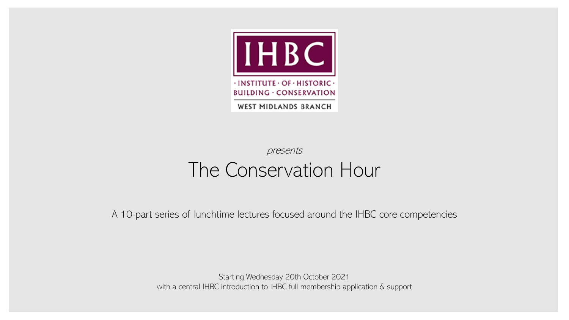

## presents The Conservation Hour

A 10-part series of lunchtime lectures focused around the IHBC core competencies

Starting Wednesday 20th October 2021 with a central IHBC introduction to IHBC full membership application & support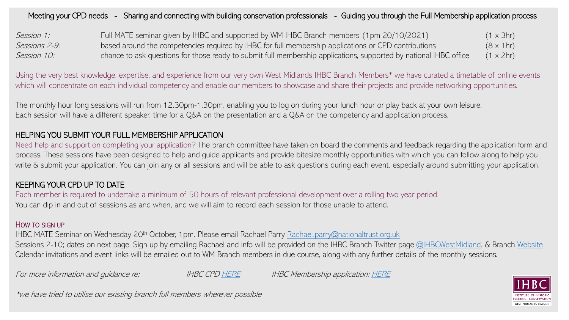#### Meeting your CPD needs - Sharing and connecting with building conservation professionals - Guiding you through the Full Membership application process

Session 1: Full MATE seminar given by IHBC and supported by WM IHBC Branch members (1pm 20/10/2021) (1 x 3hr) Sessions 2-9: based around the competencies required by IHBC for full membership applications or CPD contributions (8 x 1hr) Session 10: chance to ask questions for those ready to submit full membership applications, supported by national IHBC office (1 x 2hr)

Using the very best knowledge, expertise, and experience from our very own West Midlands IHBC Branch Members\* we have curated a timetable of online events which will concentrate on each individual competency and enable our members to showcase and share their projects and provide networking opportunities.

The monthly hour long sessions will run from 12.30pm-1.30pm, enabling you to log on during your lunch hour or play back at your own leisure. Each session will have a different speaker, time for a Q&A on the presentation and a Q&A on the competency and application process.

#### HELPING YOU SUBMIT YOUR FULL MEMBERSHIP APPLICATION

Need help and support on completing your application? The branch committee have taken on board the comments and feedback regarding the application form and process. These sessions have been designed to help and guide applicants and provide bitesize monthly opportunities with which you can follow along to help you write & submit your application. You can join any or all sessions and will be able to ask questions during each event, especially around submitting your application.

#### KEEPING YOUR CPD UP TO DATE

Each member is required to undertake a minimum of 50 hours of relevant professional development over a rolling two year period. You can dip in and out of sessions as and when, and we will aim to record each session for those unable to attend.

#### HOW TO SIGN UP

IHBC MATE Seminar on Wednesday 20<sup>th</sup> October, 1pm. Please email Rachael Parry [Rachael.parry@nationaltrust.org.uk](mailto:Rachael.parry@nationaltrust.org.uk) Sessions 2-10; dates on next page. Sign up by emailing Rachael and info will be provided on the IHBC Branch Twitter page [@IHBCWestMidland](https://twitter.com/ihbcwestmidland?lang=en), & Branch [Website](https://ihbc.org.uk/branches/wmids/index.html) Calendar invitations and event links will be emailed out to WM Branch members in due course, along with any further details of the monthly sessions.

For more information and quidance re; IHBC CPD [HERE](https://ihbc.org.uk/learning/cpd/index.html) IHBC Membership application: [HERE](https://ihbc.org.uk/page-4/index.html)

\*we have tried to utilise our existing branch full members wherever possible